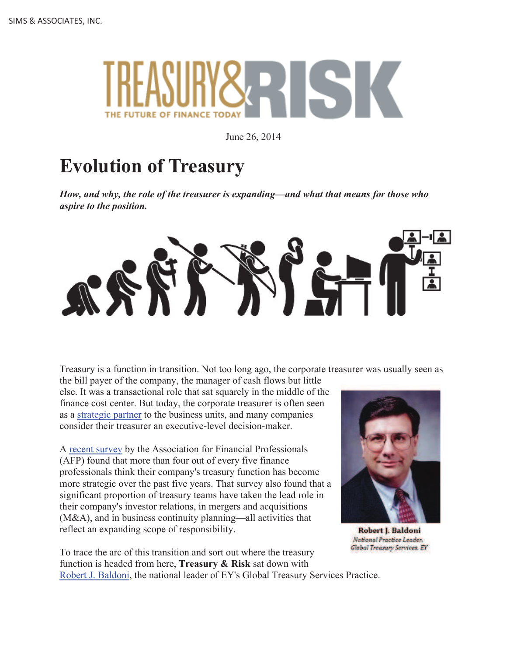

June 26, 2014

# **Evolution of Treasury**

*How, and why, the role of the treasurer is expanding—and what that means for those who aspire to the position.*



Treasury is a function in transition. Not too long ago, the corporate treasurer was usually seen as

the bill payer of the company, the manager of cash flows but little else. It was a transactional role that sat squarely in the middle of the finance cost center. But today, the corporate treasurer is often seen as a strategic partner to the business units, and many companies consider their treasurer an executive-level decision-maker.

A recent survey by the Association for Financial Professionals (AFP) found that more than four out of every five finance professionals think their company's treasury function has become more strategic over the past five years. That survey also found that a significant proportion of treasury teams have taken the lead role in their company's investor relations, in mergers and acquisitions (M&A), and in business continuity planning—all activities that reflect an expanding scope of responsibility.



**Robert J. Baldoni** National Practice Leader. Global Treasury Services. EY

To trace the arc of this transition and sort out where the treasury function is headed from here, **Treasury & Risk** sat down with Robert J. Baldoni, the national leader of EY's Global Treasury Services Practice.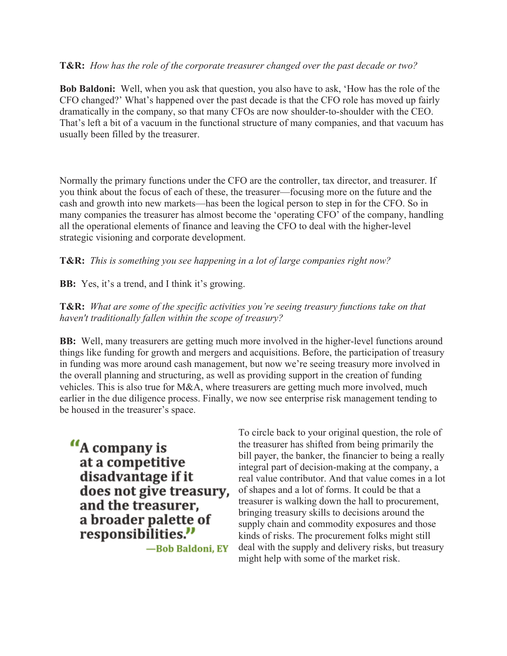#### **T&R:** *How has the role of the corporate treasurer changed over the past decade or two?*

**Bob Baldoni:** Well, when you ask that question, you also have to ask, 'How has the role of the CFO changed?' What's happened over the past decade is that the CFO role has moved up fairly dramatically in the company, so that many CFOs are now shoulder-to-shoulder with the CEO. That's left a bit of a vacuum in the functional structure of many companies, and that vacuum has usually been filled by the treasurer.

Normally the primary functions under the CFO are the controller, tax director, and treasurer. If you think about the focus of each of these, the treasurer—focusing more on the future and the cash and growth into new markets—has been the logical person to step in for the CFO. So in many companies the treasurer has almost become the 'operating CFO' of the company, handling all the operational elements of finance and leaving the CFO to deal with the higher-level strategic visioning and corporate development.

### **T&R:** *This is something you see happening in a lot of large companies right now?*

**BB:** Yes, it's a trend, and I think it's growing.

**T&R:** *What are some of the specific activities you're seeing treasury functions take on that haven't traditionally fallen within the scope of treasury?*

**BB:** Well, many treasurers are getting much more involved in the higher-level functions around things like funding for growth and mergers and acquisitions. Before, the participation of treasury in funding was more around cash management, but now we're seeing treasury more involved in the overall planning and structuring, as well as providing support in the creation of funding vehicles. This is also true for M&A, where treasurers are getting much more involved, much earlier in the due diligence process. Finally, we now see enterprise risk management tending to be housed in the treasurer's space.

"A company is at a competitive disadvantage if it does not give treasury, and the treasurer, a broader palette of responsibilities."

-Bob Baldoni, EY

To circle back to your original question, the role of the treasurer has shifted from being primarily the bill payer, the banker, the financier to being a really integral part of decision-making at the company, a real value contributor. And that value comes in a lot of shapes and a lot of forms. It could be that a treasurer is walking down the hall to procurement, bringing treasury skills to decisions around the supply chain and commodity exposures and those kinds of risks. The procurement folks might still deal with the supply and delivery risks, but treasury might help with some of the market risk.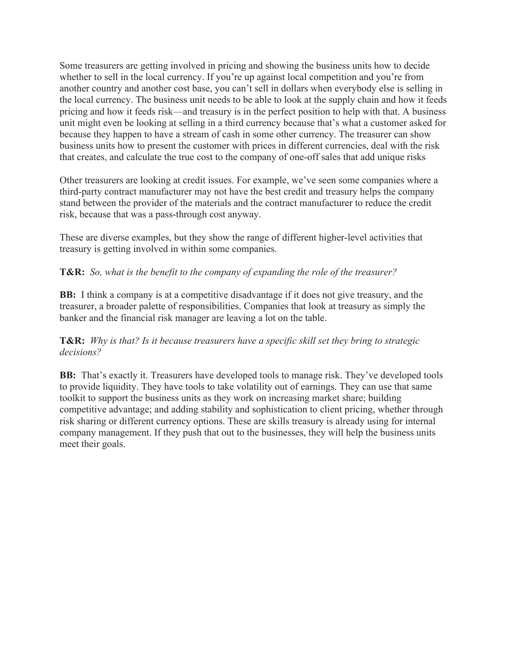Some treasurers are getting involved in pricing and showing the business units how to decide whether to sell in the local currency. If you're up against local competition and you're from another country and another cost base, you can't sell in dollars when everybody else is selling in the local currency. The business unit needs to be able to look at the supply chain and how it feeds pricing and how it feeds risk—and treasury is in the perfect position to help with that. A business unit might even be looking at selling in a third currency because that's what a customer asked for because they happen to have a stream of cash in some other currency. The treasurer can show business units how to present the customer with prices in different currencies, deal with the risk that creates, and calculate the true cost to the company of one-off sales that add unique risks

Other treasurers are looking at credit issues. For example, we've seen some companies where a third-party contract manufacturer may not have the best credit and treasury helps the company stand between the provider of the materials and the contract manufacturer to reduce the credit risk, because that was a pass-through cost anyway.

These are diverse examples, but they show the range of different higher-level activities that treasury is getting involved in within some companies.

## **T&R:** *So, what is the benefit to the company of expanding the role of the treasurer?*

**BB:** I think a company is at a competitive disadvantage if it does not give treasury, and the treasurer, a broader palette of responsibilities. Companies that look at treasury as simply the banker and the financial risk manager are leaving a lot on the table.

### **T&R:** *Why is that? Is it because treasurers have a specific skill set they bring to strategic decisions?*

**BB:** That's exactly it. Treasurers have developed tools to manage risk. They've developed tools to provide liquidity. They have tools to take volatility out of earnings. They can use that same toolkit to support the business units as they work on increasing market share; building competitive advantage; and adding stability and sophistication to client pricing, whether through risk sharing or different currency options. These are skills treasury is already using for internal company management. If they push that out to the businesses, they will help the business units meet their goals.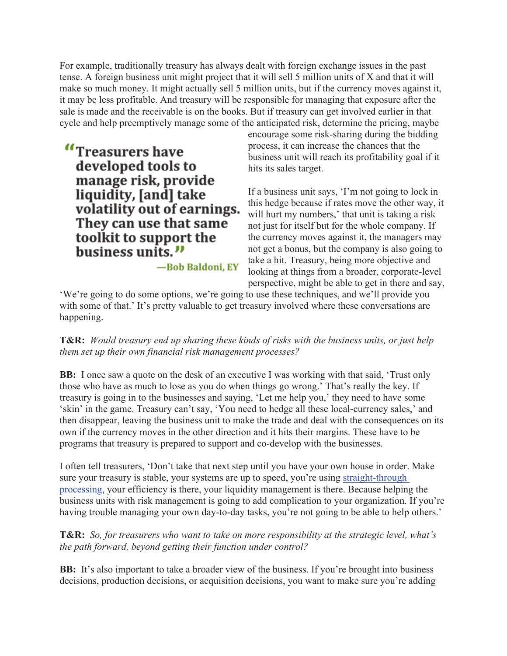For example, traditionally treasury has always dealt with foreign exchange issues in the past tense. A foreign business unit might project that it will sell 5 million units of X and that it will make so much money. It might actually sell 5 million units, but if the currency moves against it, it may be less profitable. And treasury will be responsible for managing that exposure after the sale is made and the receivable is on the books. But if treasury can get involved earlier in that cycle and help preemptively manage some of the anticipated risk, determine the pricing, maybe

"Treasurers have developed tools to manage risk, provide liquidity, [and] take volatility out of earnings. They can use that same toolkit to support the business units."

encourage some risk-sharing during the bidding process, it can increase the chances that the business unit will reach its profitability goal if it hits its sales target.

If a business unit says, 'I'm not going to lock in this hedge because if rates move the other way, it will hurt my numbers,' that unit is taking a risk not just for itself but for the whole company. If the currency moves against it, the managers may not get a bonus, but the company is also going to take a hit. Treasury, being more objective and looking at things from a broader, corporate-level perspective, might be able to get in there and say,

'We're going to do some options, we're going to use these techniques, and we'll provide you with some of that.' It's pretty valuable to get treasury involved where these conversations are happening.

-Bob Baldoni, EY

**T&R:** *Would treasury end up sharing these kinds of risks with the business units, or just help them set up their own financial risk management processes?*

**BB:** I once saw a quote on the desk of an executive I was working with that said, 'Trust only those who have as much to lose as you do when things go wrong.' That's really the key. If treasury is going in to the businesses and saying, 'Let me help you,' they need to have some 'skin' in the game. Treasury can't say, 'You need to hedge all these local-currency sales,' and then disappear, leaving the business unit to make the trade and deal with the consequences on its own if the currency moves in the other direction and it hits their margins. These have to be programs that treasury is prepared to support and co-develop with the businesses.

I often tell treasurers, 'Don't take that next step until you have your own house in order. Make sure your treasury is stable, your systems are up to speed, you're using straight-through processing, your efficiency is there, your liquidity management is there. Because helping the business units with risk management is going to add complication to your organization. If you're having trouble managing your own day-to-day tasks, you're not going to be able to help others.'

**T&R:** *So, for treasurers who want to take on more responsibility at the strategic level, what's the path forward, beyond getting their function under control?*

**BB:** It's also important to take a broader view of the business. If you're brought into business decisions, production decisions, or acquisition decisions, you want to make sure you're adding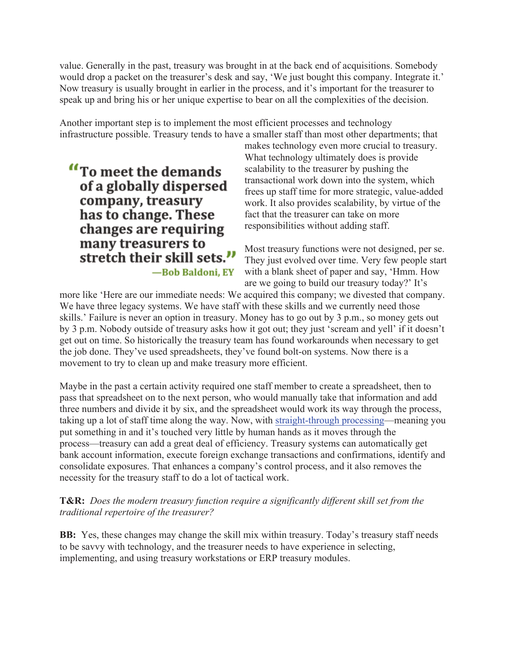value. Generally in the past, treasury was brought in at the back end of acquisitions. Somebody would drop a packet on the treasurer's desk and say, 'We just bought this company. Integrate it.' Now treasury is usually brought in earlier in the process, and it's important for the treasurer to speak up and bring his or her unique expertise to bear on all the complexities of the decision.

Another important step is to implement the most efficient processes and technology infrastructure possible. Treasury tends to have a smaller staff than most other departments; that

"To meet the demands" of a globally dispersed company, treasury has to change. These changes are requiring many treasurers to stretch their skill sets." -Bob Baldoni, EY

makes technology even more crucial to treasury. What technology ultimately does is provide scalability to the treasurer by pushing the transactional work down into the system, which frees up staff time for more strategic, value-added work. It also provides scalability, by virtue of the fact that the treasurer can take on more responsibilities without adding staff.

Most treasury functions were not designed, per se. They just evolved over time. Very few people start with a blank sheet of paper and say, 'Hmm. How are we going to build our treasury today?' It's

more like 'Here are our immediate needs: We acquired this company; we divested that company. We have three legacy systems. We have staff with these skills and we currently need those skills.' Failure is never an option in treasury. Money has to go out by 3 p.m., so money gets out by 3 p.m. Nobody outside of treasury asks how it got out; they just 'scream and yell' if it doesn't get out on time. So historically the treasury team has found workarounds when necessary to get the job done. They've used spreadsheets, they've found bolt-on systems. Now there is a movement to try to clean up and make treasury more efficient.

Maybe in the past a certain activity required one staff member to create a spreadsheet, then to pass that spreadsheet on to the next person, who would manually take that information and add three numbers and divide it by six, and the spreadsheet would work its way through the process, taking up a lot of staff time along the way. Now, with straight-through processing—meaning you put something in and it's touched very little by human hands as it moves through the process—treasury can add a great deal of efficiency. Treasury systems can automatically get bank account information, execute foreign exchange transactions and confirmations, identify and consolidate exposures. That enhances a company's control process, and it also removes the necessity for the treasury staff to do a lot of tactical work.

**T&R:** *Does the modern treasury function require a significantly different skill set from the traditional repertoire of the treasurer?*

**BB:** Yes, these changes may change the skill mix within treasury. Today's treasury staff needs to be savvy with technology, and the treasurer needs to have experience in selecting, implementing, and using treasury workstations or ERP treasury modules.